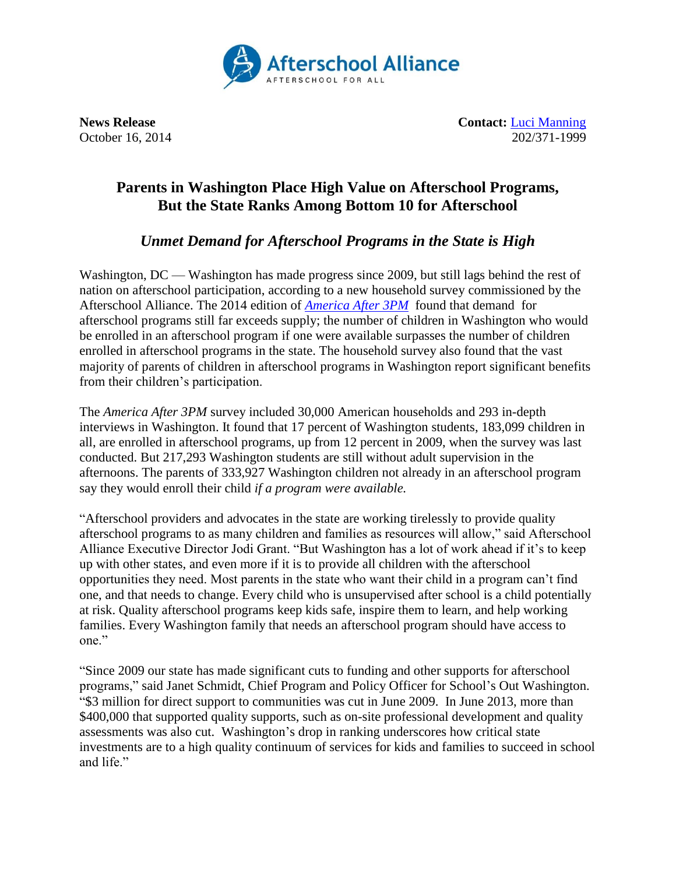

**News Release Contact:** [Luci Manning](mailto:luci@prsolutionsdc.com) October 16, 2014 202/371-1999

## **Parents in Washington Place High Value on Afterschool Programs, But the State Ranks Among Bottom 10 for Afterschool**

## *Unmet Demand for Afterschool Programs in the State is High*

Washington, DC — Washington has made progress since 2009, but still lags behind the rest of nation on afterschool participation, according to a new household survey commissioned by the Afterschool Alliance. The 2014 edition of *[America After 3PM](http://www.afterschoolalliance.org/AA3PM)* found that demand for afterschool programs still far exceeds supply; the number of children in Washington who would be enrolled in an afterschool program if one were available surpasses the number of children enrolled in afterschool programs in the state. The household survey also found that the vast majority of parents of children in afterschool programs in Washington report significant benefits from their children's participation.

The *America After 3PM* survey included 30,000 American households and 293 in-depth interviews in Washington. It found that 17 percent of Washington students, 183,099 children in all, are enrolled in afterschool programs, up from 12 percent in 2009, when the survey was last conducted. But 217,293 Washington students are still without adult supervision in the afternoons. The parents of 333,927 Washington children not already in an afterschool program say they would enroll their child *if a program were available.*

"Afterschool providers and advocates in the state are working tirelessly to provide quality afterschool programs to as many children and families as resources will allow," said Afterschool Alliance Executive Director Jodi Grant. "But Washington has a lot of work ahead if it's to keep up with other states, and even more if it is to provide all children with the afterschool opportunities they need. Most parents in the state who want their child in a program can't find one, and that needs to change. Every child who is unsupervised after school is a child potentially at risk. Quality afterschool programs keep kids safe, inspire them to learn, and help working families. Every Washington family that needs an afterschool program should have access to one."

"Since 2009 our state has made significant cuts to funding and other supports for afterschool programs," said Janet Schmidt, Chief Program and Policy Officer for School's Out Washington. "\$3 million for direct support to communities was cut in June 2009. In June 2013, more than \$400,000 that supported quality supports, such as on-site professional development and quality assessments was also cut. Washington's drop in ranking underscores how critical state investments are to a high quality continuum of services for kids and families to succeed in school and life."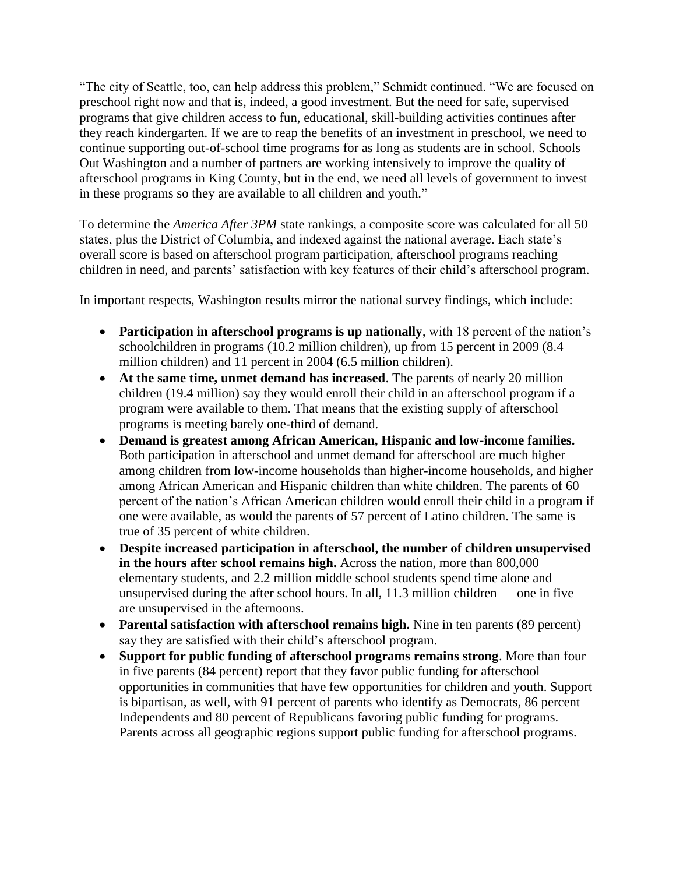"The city of Seattle, too, can help address this problem," Schmidt continued. "We are focused on preschool right now and that is, indeed, a good investment. But the need for safe, supervised programs that give children access to fun, educational, skill-building activities continues after they reach kindergarten. If we are to reap the benefits of an investment in preschool, we need to continue supporting out-of-school time programs for as long as students are in school. Schools Out Washington and a number of partners are working intensively to improve the quality of afterschool programs in King County, but in the end, we need all levels of government to invest in these programs so they are available to all children and youth."

To determine the *America After 3PM* state rankings, a composite score was calculated for all 50 states, plus the District of Columbia, and indexed against the national average. Each state's overall score is based on afterschool program participation, afterschool programs reaching children in need, and parents' satisfaction with key features of their child's afterschool program.

In important respects, Washington results mirror the national survey findings, which include:

- **Participation in afterschool programs is up nationally**, with 18 percent of the nation's schoolchildren in programs (10.2 million children), up from 15 percent in 2009 (8.4 million children) and 11 percent in 2004 (6.5 million children).
- **At the same time, unmet demand has increased**. The parents of nearly 20 million children (19.4 million) say they would enroll their child in an afterschool program if a program were available to them. That means that the existing supply of afterschool programs is meeting barely one-third of demand.
- **Demand is greatest among African American, Hispanic and low-income families.**  Both participation in afterschool and unmet demand for afterschool are much higher among children from low-income households than higher-income households, and higher among African American and Hispanic children than white children. The parents of 60 percent of the nation's African American children would enroll their child in a program if one were available, as would the parents of 57 percent of Latino children. The same is true of 35 percent of white children.
- **Despite increased participation in afterschool, the number of children unsupervised in the hours after school remains high.** Across the nation, more than 800,000 elementary students, and 2.2 million middle school students spend time alone and unsupervised during the after school hours. In all, 11.3 million children — one in five are unsupervised in the afternoons.
- **Parental satisfaction with afterschool remains high.** Nine in ten parents (89 percent) say they are satisfied with their child's afterschool program.
- **Support for public funding of afterschool programs remains strong**. More than four in five parents (84 percent) report that they favor public funding for afterschool opportunities in communities that have few opportunities for children and youth. Support is bipartisan, as well, with 91 percent of parents who identify as Democrats, 86 percent Independents and 80 percent of Republicans favoring public funding for programs. Parents across all geographic regions support public funding for afterschool programs.